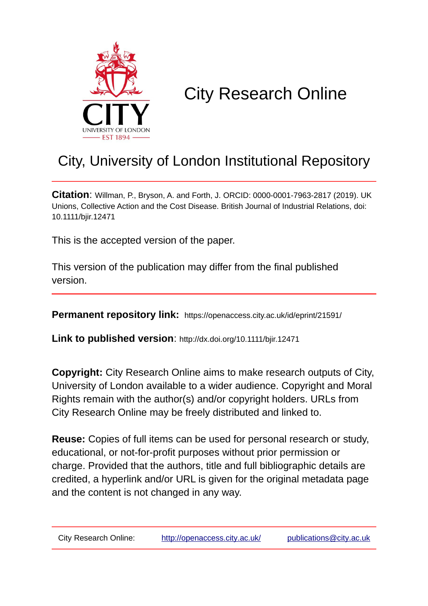

# City Research Online

## City, University of London Institutional Repository

**Citation**: Willman, P., Bryson, A. and Forth, J. ORCID: 0000-0001-7963-2817 (2019). UK Unions, Collective Action and the Cost Disease. British Journal of Industrial Relations, doi: 10.1111/bjir.12471

This is the accepted version of the paper.

This version of the publication may differ from the final published version.

**Permanent repository link:** https://openaccess.city.ac.uk/id/eprint/21591/

**Link to published version**: http://dx.doi.org/10.1111/bjir.12471

**Copyright:** City Research Online aims to make research outputs of City, University of London available to a wider audience. Copyright and Moral Rights remain with the author(s) and/or copyright holders. URLs from City Research Online may be freely distributed and linked to.

**Reuse:** Copies of full items can be used for personal research or study, educational, or not-for-profit purposes without prior permission or charge. Provided that the authors, title and full bibliographic details are credited, a hyperlink and/or URL is given for the original metadata page and the content is not changed in any way.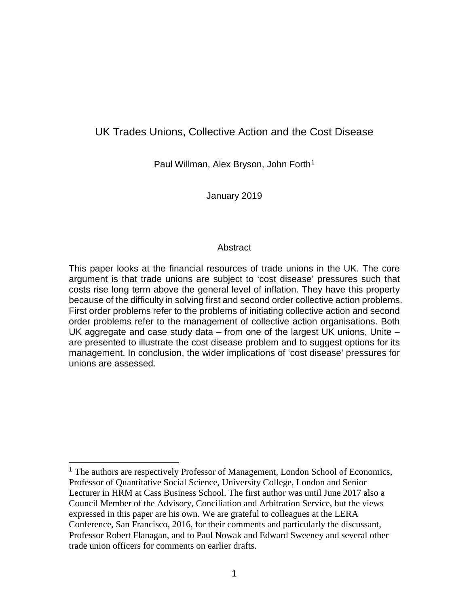## UK Trades Unions, Collective Action and the Cost Disease

Paul Willman, Alex Bryson, John Forth<sup>[1](#page-1-0)</sup>

January 2019

#### Abstract

This paper looks at the financial resources of trade unions in the UK. The core argument is that trade unions are subject to 'cost disease' pressures such that costs rise long term above the general level of inflation. They have this property because of the difficulty in solving first and second order collective action problems. First order problems refer to the problems of initiating collective action and second order problems refer to the management of collective action organisations. Both UK aggregate and case study data – from one of the largest UK unions, Unite – are presented to illustrate the cost disease problem and to suggest options for its management. In conclusion, the wider implications of 'cost disease' pressures for unions are assessed.

<span id="page-1-0"></span> <sup>1</sup> The authors are respectively Professor of Management, London School of Economics, Professor of Quantitative Social Science, University College, London and Senior Lecturer in HRM at Cass Business School. The first author was until June 2017 also a Council Member of the Advisory, Conciliation and Arbitration Service, but the views expressed in this paper are his own. We are grateful to colleagues at the LERA Conference, San Francisco, 2016, for their comments and particularly the discussant, Professor Robert Flanagan, and to Paul Nowak and Edward Sweeney and several other trade union officers for comments on earlier drafts.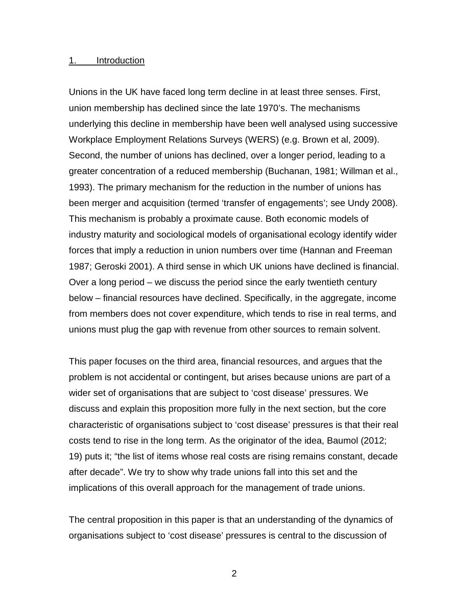#### 1. Introduction

Unions in the UK have faced long term decline in at least three senses. First, union membership has declined since the late 1970's. The mechanisms underlying this decline in membership have been well analysed using successive Workplace Employment Relations Surveys (WERS) (e.g. Brown et al, 2009). Second, the number of unions has declined, over a longer period, leading to a greater concentration of a reduced membership (Buchanan, 1981; Willman et al., 1993). The primary mechanism for the reduction in the number of unions has been merger and acquisition (termed 'transfer of engagements'; see Undy 2008). This mechanism is probably a proximate cause. Both economic models of industry maturity and sociological models of organisational ecology identify wider forces that imply a reduction in union numbers over time (Hannan and Freeman 1987; Geroski 2001). A third sense in which UK unions have declined is financial. Over a long period – we discuss the period since the early twentieth century below – financial resources have declined. Specifically, in the aggregate, income from members does not cover expenditure, which tends to rise in real terms, and unions must plug the gap with revenue from other sources to remain solvent.

This paper focuses on the third area, financial resources, and argues that the problem is not accidental or contingent, but arises because unions are part of a wider set of organisations that are subject to 'cost disease' pressures. We discuss and explain this proposition more fully in the next section, but the core characteristic of organisations subject to 'cost disease' pressures is that their real costs tend to rise in the long term. As the originator of the idea, Baumol (2012; 19) puts it; "the list of items whose real costs are rising remains constant, decade after decade". We try to show why trade unions fall into this set and the implications of this overall approach for the management of trade unions.

The central proposition in this paper is that an understanding of the dynamics of organisations subject to 'cost disease' pressures is central to the discussion of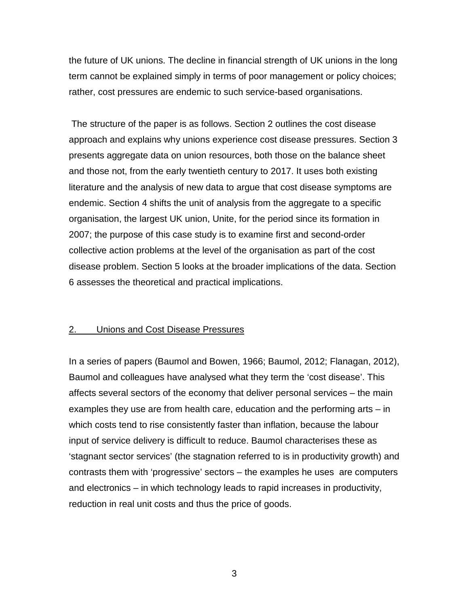the future of UK unions. The decline in financial strength of UK unions in the long term cannot be explained simply in terms of poor management or policy choices; rather, cost pressures are endemic to such service-based organisations.

The structure of the paper is as follows. Section 2 outlines the cost disease approach and explains why unions experience cost disease pressures. Section 3 presents aggregate data on union resources, both those on the balance sheet and those not, from the early twentieth century to 2017. It uses both existing literature and the analysis of new data to argue that cost disease symptoms are endemic. Section 4 shifts the unit of analysis from the aggregate to a specific organisation, the largest UK union, Unite, for the period since its formation in 2007; the purpose of this case study is to examine first and second-order collective action problems at the level of the organisation as part of the cost disease problem. Section 5 looks at the broader implications of the data. Section 6 assesses the theoretical and practical implications.

#### 2. Unions and Cost Disease Pressures

In a series of papers (Baumol and Bowen, 1966; Baumol, 2012; Flanagan, 2012), Baumol and colleagues have analysed what they term the 'cost disease'. This affects several sectors of the economy that deliver personal services – the main examples they use are from health care, education and the performing arts – in which costs tend to rise consistently faster than inflation, because the labour input of service delivery is difficult to reduce. Baumol characterises these as 'stagnant sector services' (the stagnation referred to is in productivity growth) and contrasts them with 'progressive' sectors – the examples he uses are computers and electronics – in which technology leads to rapid increases in productivity, reduction in real unit costs and thus the price of goods.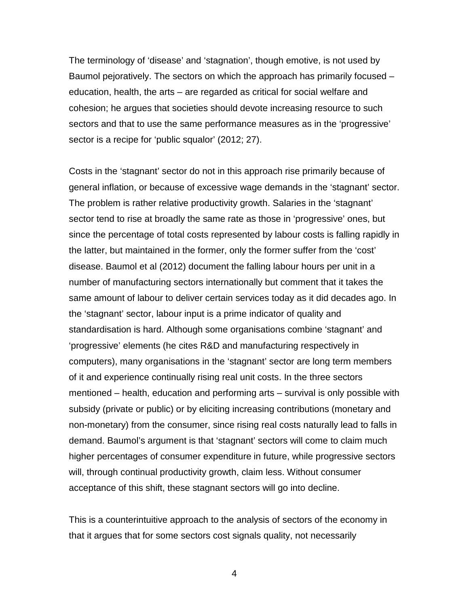The terminology of 'disease' and 'stagnation', though emotive, is not used by Baumol pejoratively. The sectors on which the approach has primarily focused – education, health, the arts – are regarded as critical for social welfare and cohesion; he argues that societies should devote increasing resource to such sectors and that to use the same performance measures as in the 'progressive' sector is a recipe for 'public squalor' (2012; 27).

Costs in the 'stagnant' sector do not in this approach rise primarily because of general inflation, or because of excessive wage demands in the 'stagnant' sector. The problem is rather relative productivity growth. Salaries in the 'stagnant' sector tend to rise at broadly the same rate as those in 'progressive' ones, but since the percentage of total costs represented by labour costs is falling rapidly in the latter, but maintained in the former, only the former suffer from the 'cost' disease. Baumol et al (2012) document the falling labour hours per unit in a number of manufacturing sectors internationally but comment that it takes the same amount of labour to deliver certain services today as it did decades ago. In the 'stagnant' sector, labour input is a prime indicator of quality and standardisation is hard. Although some organisations combine 'stagnant' and 'progressive' elements (he cites R&D and manufacturing respectively in computers), many organisations in the 'stagnant' sector are long term members of it and experience continually rising real unit costs. In the three sectors mentioned – health, education and performing arts – survival is only possible with subsidy (private or public) or by eliciting increasing contributions (monetary and non-monetary) from the consumer, since rising real costs naturally lead to falls in demand. Baumol's argument is that 'stagnant' sectors will come to claim much higher percentages of consumer expenditure in future, while progressive sectors will, through continual productivity growth, claim less. Without consumer acceptance of this shift, these stagnant sectors will go into decline.

This is a counterintuitive approach to the analysis of sectors of the economy in that it argues that for some sectors cost signals quality, not necessarily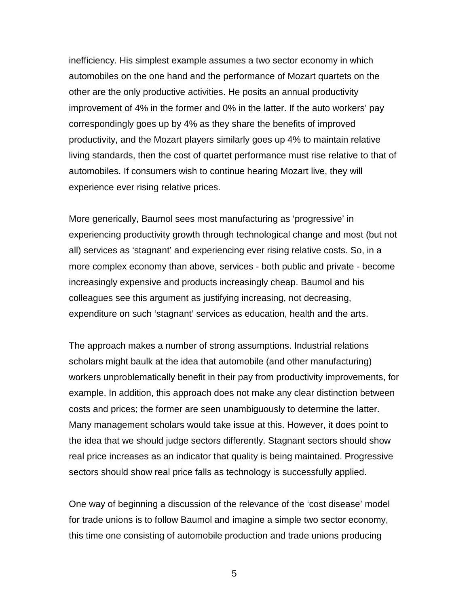inefficiency. His simplest example assumes a two sector economy in which automobiles on the one hand and the performance of Mozart quartets on the other are the only productive activities. He posits an annual productivity improvement of 4% in the former and 0% in the latter. If the auto workers' pay correspondingly goes up by 4% as they share the benefits of improved productivity, and the Mozart players similarly goes up 4% to maintain relative living standards, then the cost of quartet performance must rise relative to that of automobiles. If consumers wish to continue hearing Mozart live, they will experience ever rising relative prices.

More generically, Baumol sees most manufacturing as 'progressive' in experiencing productivity growth through technological change and most (but not all) services as 'stagnant' and experiencing ever rising relative costs. So, in a more complex economy than above, services - both public and private - become increasingly expensive and products increasingly cheap. Baumol and his colleagues see this argument as justifying increasing, not decreasing, expenditure on such 'stagnant' services as education, health and the arts.

The approach makes a number of strong assumptions. Industrial relations scholars might baulk at the idea that automobile (and other manufacturing) workers unproblematically benefit in their pay from productivity improvements, for example. In addition, this approach does not make any clear distinction between costs and prices; the former are seen unambiguously to determine the latter. Many management scholars would take issue at this. However, it does point to the idea that we should judge sectors differently. Stagnant sectors should show real price increases as an indicator that quality is being maintained. Progressive sectors should show real price falls as technology is successfully applied.

One way of beginning a discussion of the relevance of the 'cost disease' model for trade unions is to follow Baumol and imagine a simple two sector economy, this time one consisting of automobile production and trade unions producing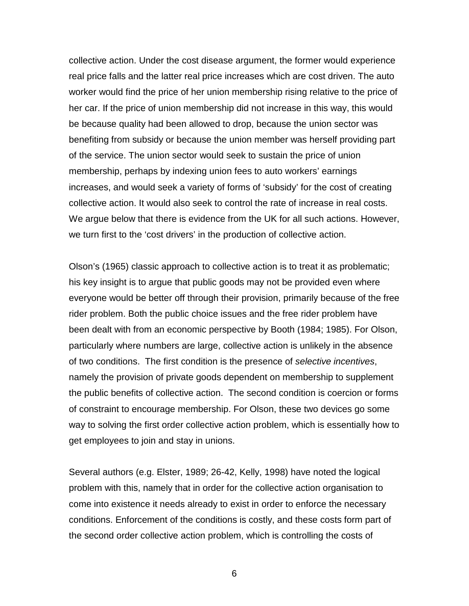collective action. Under the cost disease argument, the former would experience real price falls and the latter real price increases which are cost driven. The auto worker would find the price of her union membership rising relative to the price of her car. If the price of union membership did not increase in this way, this would be because quality had been allowed to drop, because the union sector was benefiting from subsidy or because the union member was herself providing part of the service. The union sector would seek to sustain the price of union membership, perhaps by indexing union fees to auto workers' earnings increases, and would seek a variety of forms of 'subsidy' for the cost of creating collective action. It would also seek to control the rate of increase in real costs. We argue below that there is evidence from the UK for all such actions. However, we turn first to the 'cost drivers' in the production of collective action.

Olson's (1965) classic approach to collective action is to treat it as problematic; his key insight is to argue that public goods may not be provided even where everyone would be better off through their provision, primarily because of the free rider problem. Both the public choice issues and the free rider problem have been dealt with from an economic perspective by Booth (1984; 1985). For Olson, particularly where numbers are large, collective action is unlikely in the absence of two conditions. The first condition is the presence of *selective incentives*, namely the provision of private goods dependent on membership to supplement the public benefits of collective action. The second condition is coercion or forms of constraint to encourage membership. For Olson, these two devices go some way to solving the first order collective action problem, which is essentially how to get employees to join and stay in unions.

Several authors (e.g. Elster, 1989; 26-42, Kelly, 1998) have noted the logical problem with this, namely that in order for the collective action organisation to come into existence it needs already to exist in order to enforce the necessary conditions. Enforcement of the conditions is costly, and these costs form part of the second order collective action problem, which is controlling the costs of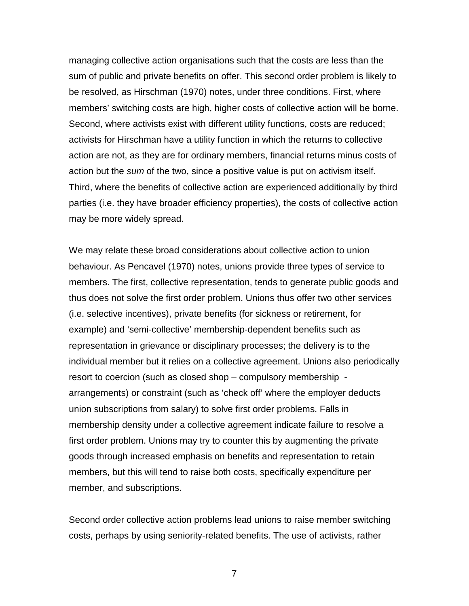managing collective action organisations such that the costs are less than the sum of public and private benefits on offer. This second order problem is likely to be resolved, as Hirschman (1970) notes, under three conditions. First, where members' switching costs are high, higher costs of collective action will be borne. Second, where activists exist with different utility functions, costs are reduced; activists for Hirschman have a utility function in which the returns to collective action are not, as they are for ordinary members, financial returns minus costs of action but the *sum* of the two, since a positive value is put on activism itself. Third, where the benefits of collective action are experienced additionally by third parties (i.e. they have broader efficiency properties), the costs of collective action may be more widely spread.

We may relate these broad considerations about collective action to union behaviour. As Pencavel (1970) notes, unions provide three types of service to members. The first, collective representation, tends to generate public goods and thus does not solve the first order problem. Unions thus offer two other services (i.e. selective incentives), private benefits (for sickness or retirement, for example) and 'semi-collective' membership-dependent benefits such as representation in grievance or disciplinary processes; the delivery is to the individual member but it relies on a collective agreement. Unions also periodically resort to coercion (such as closed shop – compulsory membership arrangements) or constraint (such as 'check off' where the employer deducts union subscriptions from salary) to solve first order problems. Falls in membership density under a collective agreement indicate failure to resolve a first order problem. Unions may try to counter this by augmenting the private goods through increased emphasis on benefits and representation to retain members, but this will tend to raise both costs, specifically expenditure per member, and subscriptions.

Second order collective action problems lead unions to raise member switching costs, perhaps by using seniority-related benefits. The use of activists, rather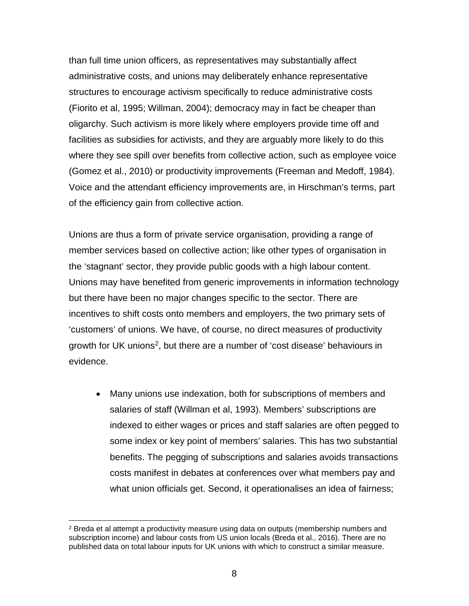than full time union officers, as representatives may substantially affect administrative costs, and unions may deliberately enhance representative structures to encourage activism specifically to reduce administrative costs (Fiorito et al, 1995; Willman, 2004); democracy may in fact be cheaper than oligarchy. Such activism is more likely where employers provide time off and facilities as subsidies for activists, and they are arguably more likely to do this where they see spill over benefits from collective action, such as employee voice (Gomez et al., 2010) or productivity improvements (Freeman and Medoff, 1984). Voice and the attendant efficiency improvements are, in Hirschman's terms, part of the efficiency gain from collective action.

Unions are thus a form of private service organisation, providing a range of member services based on collective action; like other types of organisation in the 'stagnant' sector, they provide public goods with a high labour content. Unions may have benefited from generic improvements in information technology but there have been no major changes specific to the sector. There are incentives to shift costs onto members and employers, the two primary sets of 'customers' of unions. We have, of course, no direct measures of productivity growth for UK unions<sup>[2](#page-8-0)</sup>, but there are a number of 'cost disease' behaviours in evidence.

• Many unions use indexation, both for subscriptions of members and salaries of staff (Willman et al, 1993). Members' subscriptions are indexed to either wages or prices and staff salaries are often pegged to some index or key point of members' salaries. This has two substantial benefits. The pegging of subscriptions and salaries avoids transactions costs manifest in debates at conferences over what members pay and what union officials get. Second, it operationalises an idea of fairness;

<span id="page-8-0"></span> $2$  Breda et al attempt a productivity measure using data on outputs (membership numbers and subscription income) and labour costs from US union locals (Breda et al., 2016). There are no published data on total labour inputs for UK unions with which to construct a similar measure.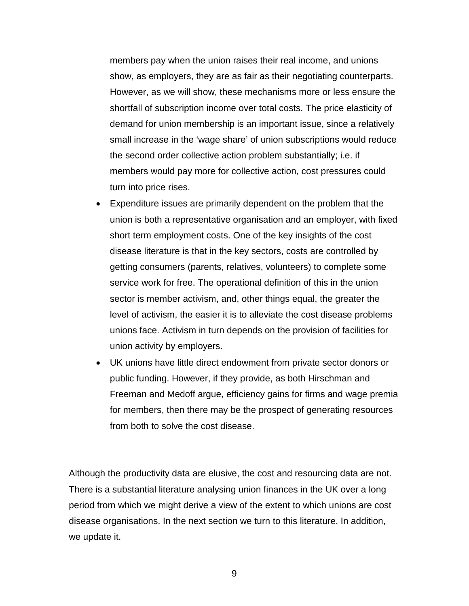members pay when the union raises their real income, and unions show, as employers, they are as fair as their negotiating counterparts. However, as we will show, these mechanisms more or less ensure the shortfall of subscription income over total costs. The price elasticity of demand for union membership is an important issue, since a relatively small increase in the 'wage share' of union subscriptions would reduce the second order collective action problem substantially; i.e. if members would pay more for collective action, cost pressures could turn into price rises.

- Expenditure issues are primarily dependent on the problem that the union is both a representative organisation and an employer, with fixed short term employment costs. One of the key insights of the cost disease literature is that in the key sectors, costs are controlled by getting consumers (parents, relatives, volunteers) to complete some service work for free. The operational definition of this in the union sector is member activism, and, other things equal, the greater the level of activism, the easier it is to alleviate the cost disease problems unions face. Activism in turn depends on the provision of facilities for union activity by employers.
- UK unions have little direct endowment from private sector donors or public funding. However, if they provide, as both Hirschman and Freeman and Medoff argue, efficiency gains for firms and wage premia for members, then there may be the prospect of generating resources from both to solve the cost disease.

Although the productivity data are elusive, the cost and resourcing data are not. There is a substantial literature analysing union finances in the UK over a long period from which we might derive a view of the extent to which unions are cost disease organisations. In the next section we turn to this literature. In addition, we update it.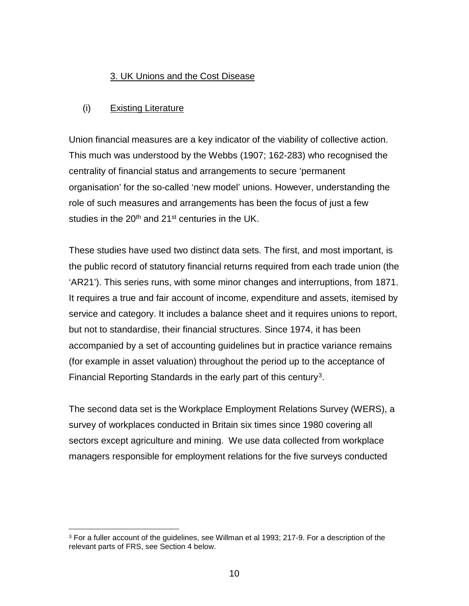## 3. UK Unions and the Cost Disease

## (i) Existing Literature

Union financial measures are a key indicator of the viability of collective action. This much was understood by the Webbs (1907; 162-283) who recognised the centrality of financial status and arrangements to secure 'permanent organisation' for the so-called 'new model' unions. However, understanding the role of such measures and arrangements has been the focus of just a few studies in the  $20<sup>th</sup>$  and  $21<sup>st</sup>$  centuries in the UK.

These studies have used two distinct data sets. The first, and most important, is the public record of statutory financial returns required from each trade union (the 'AR21'). This series runs, with some minor changes and interruptions, from 1871. It requires a true and fair account of income, expenditure and assets, itemised by service and category. It includes a balance sheet and it requires unions to report, but not to standardise, their financial structures. Since 1974, it has been accompanied by a set of accounting guidelines but in practice variance remains (for example in asset valuation) throughout the period up to the acceptance of Financial Reporting Standards in the early part of this century<sup>3</sup>.

The second data set is the Workplace Employment Relations Survey (WERS), a survey of workplaces conducted in Britain six times since 1980 covering all sectors except agriculture and mining. We use data collected from workplace managers responsible for employment relations for the five surveys conducted

<span id="page-10-0"></span><sup>&</sup>lt;sup>3</sup> For a fuller account of the guidelines, see Willman et al 1993; 217-9. For a description of the relevant parts of FRS, see Section 4 below.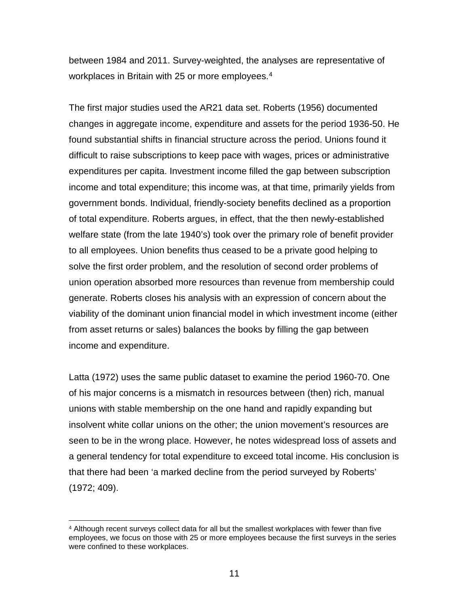between 1984 and 2011. Survey-weighted, the analyses are representative of workplaces in Britain with 25 or more employees.<sup>[4](#page-11-0)</sup>

The first major studies used the AR21 data set. Roberts (1956) documented changes in aggregate income, expenditure and assets for the period 1936-50. He found substantial shifts in financial structure across the period. Unions found it difficult to raise subscriptions to keep pace with wages, prices or administrative expenditures per capita. Investment income filled the gap between subscription income and total expenditure; this income was, at that time, primarily yields from government bonds. Individual, friendly-society benefits declined as a proportion of total expenditure. Roberts argues, in effect, that the then newly-established welfare state (from the late 1940's) took over the primary role of benefit provider to all employees. Union benefits thus ceased to be a private good helping to solve the first order problem, and the resolution of second order problems of union operation absorbed more resources than revenue from membership could generate. Roberts closes his analysis with an expression of concern about the viability of the dominant union financial model in which investment income (either from asset returns or sales) balances the books by filling the gap between income and expenditure.

Latta (1972) uses the same public dataset to examine the period 1960-70. One of his major concerns is a mismatch in resources between (then) rich, manual unions with stable membership on the one hand and rapidly expanding but insolvent white collar unions on the other; the union movement's resources are seen to be in the wrong place. However, he notes widespread loss of assets and a general tendency for total expenditure to exceed total income. His conclusion is that there had been 'a marked decline from the period surveyed by Roberts' (1972; 409).

<span id="page-11-0"></span> <sup>4</sup> Although recent surveys collect data for all but the smallest workplaces with fewer than five employees, we focus on those with 25 or more employees because the first surveys in the series were confined to these workplaces.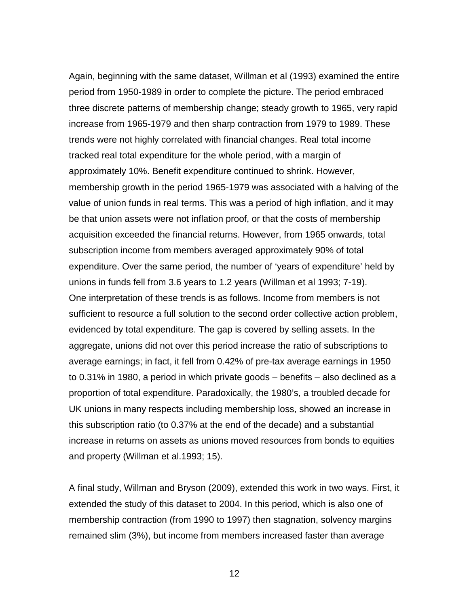Again, beginning with the same dataset, Willman et al (1993) examined the entire period from 1950-1989 in order to complete the picture. The period embraced three discrete patterns of membership change; steady growth to 1965, very rapid increase from 1965-1979 and then sharp contraction from 1979 to 1989. These trends were not highly correlated with financial changes. Real total income tracked real total expenditure for the whole period, with a margin of approximately 10%. Benefit expenditure continued to shrink. However, membership growth in the period 1965-1979 was associated with a halving of the value of union funds in real terms. This was a period of high inflation, and it may be that union assets were not inflation proof, or that the costs of membership acquisition exceeded the financial returns. However, from 1965 onwards, total subscription income from members averaged approximately 90% of total expenditure. Over the same period, the number of 'years of expenditure' held by unions in funds fell from 3.6 years to 1.2 years (Willman et al 1993; 7-19). One interpretation of these trends is as follows. Income from members is not sufficient to resource a full solution to the second order collective action problem, evidenced by total expenditure. The gap is covered by selling assets. In the aggregate, unions did not over this period increase the ratio of subscriptions to average earnings; in fact, it fell from 0.42% of pre-tax average earnings in 1950 to 0.31% in 1980, a period in which private goods – benefits – also declined as a proportion of total expenditure. Paradoxically, the 1980's, a troubled decade for UK unions in many respects including membership loss, showed an increase in this subscription ratio (to 0.37% at the end of the decade) and a substantial increase in returns on assets as unions moved resources from bonds to equities and property (Willman et al.1993; 15).

A final study, Willman and Bryson (2009), extended this work in two ways. First, it extended the study of this dataset to 2004. In this period, which is also one of membership contraction (from 1990 to 1997) then stagnation, solvency margins remained slim (3%), but income from members increased faster than average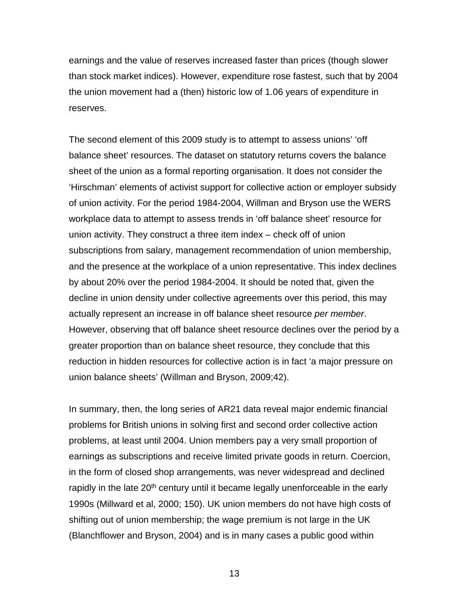earnings and the value of reserves increased faster than prices (though slower than stock market indices). However, expenditure rose fastest, such that by 2004 the union movement had a (then) historic low of 1.06 years of expenditure in reserves.

The second element of this 2009 study is to attempt to assess unions' 'off balance sheet' resources. The dataset on statutory returns covers the balance sheet of the union as a formal reporting organisation. It does not consider the 'Hirschman' elements of activist support for collective action or employer subsidy of union activity. For the period 1984-2004, Willman and Bryson use the WERS workplace data to attempt to assess trends in 'off balance sheet' resource for union activity. They construct a three item index – check off of union subscriptions from salary, management recommendation of union membership, and the presence at the workplace of a union representative. This index declines by about 20% over the period 1984-2004. It should be noted that, given the decline in union density under collective agreements over this period, this may actually represent an increase in off balance sheet resource *per member*. However, observing that off balance sheet resource declines over the period by a greater proportion than on balance sheet resource, they conclude that this reduction in hidden resources for collective action is in fact 'a major pressure on union balance sheets' (Willman and Bryson, 2009;42).

In summary, then, the long series of AR21 data reveal major endemic financial problems for British unions in solving first and second order collective action problems, at least until 2004. Union members pay a very small proportion of earnings as subscriptions and receive limited private goods in return. Coercion, in the form of closed shop arrangements, was never widespread and declined rapidly in the late 20<sup>th</sup> century until it became legally unenforceable in the early 1990s (Millward et al, 2000; 150). UK union members do not have high costs of shifting out of union membership; the wage premium is not large in the UK (Blanchflower and Bryson, 2004) and is in many cases a public good within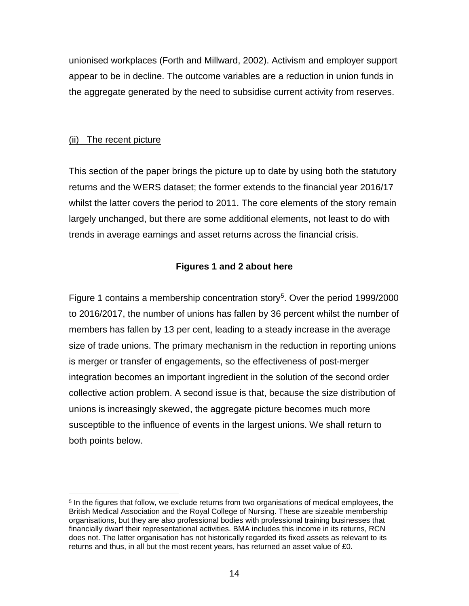unionised workplaces (Forth and Millward, 2002). Activism and employer support appear to be in decline. The outcome variables are a reduction in union funds in the aggregate generated by the need to subsidise current activity from reserves.

## (ii) The recent picture

This section of the paper brings the picture up to date by using both the statutory returns and the WERS dataset; the former extends to the financial year 2016/17 whilst the latter covers the period to 2011. The core elements of the story remain largely unchanged, but there are some additional elements, not least to do with trends in average earnings and asset returns across the financial crisis.

## **Figures 1 and 2 about here**

Figure 1 contains a membership concentration story<sup>[5](#page-14-0)</sup>. Over the period 1999/2000 to 2016/2017, the number of unions has fallen by 36 percent whilst the number of members has fallen by 13 per cent, leading to a steady increase in the average size of trade unions. The primary mechanism in the reduction in reporting unions is merger or transfer of engagements, so the effectiveness of post-merger integration becomes an important ingredient in the solution of the second order collective action problem. A second issue is that, because the size distribution of unions is increasingly skewed, the aggregate picture becomes much more susceptible to the influence of events in the largest unions. We shall return to both points below.

<span id="page-14-0"></span><sup>&</sup>lt;sup>5</sup> In the figures that follow, we exclude returns from two organisations of medical employees, the British Medical Association and the Royal College of Nursing. These are sizeable membership organisations, but they are also professional bodies with professional training businesses that financially dwarf their representational activities. BMA includes this income in its returns, RCN does not. The latter organisation has not historically regarded its fixed assets as relevant to its returns and thus, in all but the most recent years, has returned an asset value of £0.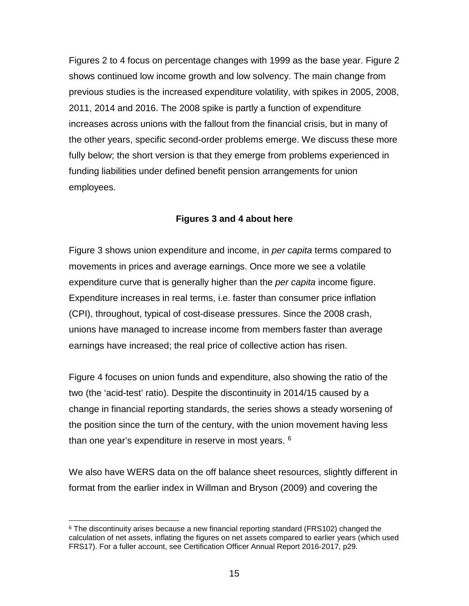Figures 2 to 4 focus on percentage changes with 1999 as the base year. Figure 2 shows continued low income growth and low solvency. The main change from previous studies is the increased expenditure volatility, with spikes in 2005, 2008, 2011, 2014 and 2016. The 2008 spike is partly a function of expenditure increases across unions with the fallout from the financial crisis, but in many of the other years, specific second-order problems emerge. We discuss these more fully below; the short version is that they emerge from problems experienced in funding liabilities under defined benefit pension arrangements for union employees.

## **Figures 3 and 4 about here**

Figure 3 shows union expenditure and income, in *per capita* terms compared to movements in prices and average earnings. Once more we see a volatile expenditure curve that is generally higher than the *per capita* income figure. Expenditure increases in real terms, i.e. faster than consumer price inflation (CPI), throughout, typical of cost-disease pressures. Since the 2008 crash, unions have managed to increase income from members faster than average earnings have increased; the real price of collective action has risen.

Figure 4 focuses on union funds and expenditure, also showing the ratio of the two (the 'acid-test' ratio). Despite the discontinuity in 2014/15 caused by a change in financial reporting standards, the series shows a steady worsening of the position since the turn of the century, with the union movement having less than one year's expenditure in reserve in most years. <sup>[6](#page-15-0)</sup>

We also have WERS data on the off balance sheet resources, slightly different in format from the earlier index in Willman and Bryson (2009) and covering the

<span id="page-15-0"></span><sup>&</sup>lt;sup>6</sup> The discontinuity arises because a new financial reporting standard (FRS102) changed the calculation of net assets, inflating the figures on net assets compared to earlier years (which used FRS17). For a fuller account, see Certification Officer Annual Report 2016-2017, p29.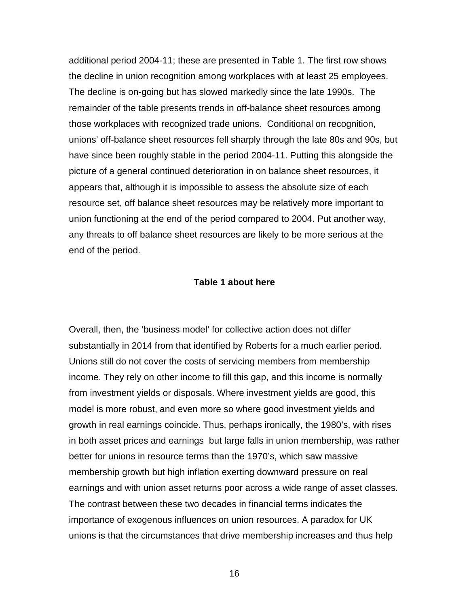additional period 2004-11; these are presented in Table 1. The first row shows the decline in union recognition among workplaces with at least 25 employees. The decline is on-going but has slowed markedly since the late 1990s. The remainder of the table presents trends in off-balance sheet resources among those workplaces with recognized trade unions. Conditional on recognition, unions' off-balance sheet resources fell sharply through the late 80s and 90s, but have since been roughly stable in the period 2004-11. Putting this alongside the picture of a general continued deterioration in on balance sheet resources, it appears that, although it is impossible to assess the absolute size of each resource set, off balance sheet resources may be relatively more important to union functioning at the end of the period compared to 2004. Put another way, any threats to off balance sheet resources are likely to be more serious at the end of the period.

#### **Table 1 about here**

Overall, then, the 'business model' for collective action does not differ substantially in 2014 from that identified by Roberts for a much earlier period. Unions still do not cover the costs of servicing members from membership income. They rely on other income to fill this gap, and this income is normally from investment yields or disposals. Where investment yields are good, this model is more robust, and even more so where good investment yields and growth in real earnings coincide. Thus, perhaps ironically, the 1980's, with rises in both asset prices and earnings but large falls in union membership, was rather better for unions in resource terms than the 1970's, which saw massive membership growth but high inflation exerting downward pressure on real earnings and with union asset returns poor across a wide range of asset classes. The contrast between these two decades in financial terms indicates the importance of exogenous influences on union resources. A paradox for UK unions is that the circumstances that drive membership increases and thus help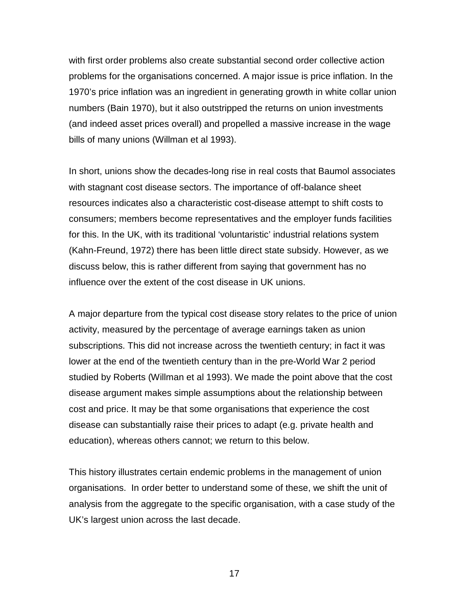with first order problems also create substantial second order collective action problems for the organisations concerned. A major issue is price inflation. In the 1970's price inflation was an ingredient in generating growth in white collar union numbers (Bain 1970), but it also outstripped the returns on union investments (and indeed asset prices overall) and propelled a massive increase in the wage bills of many unions (Willman et al 1993).

In short, unions show the decades-long rise in real costs that Baumol associates with stagnant cost disease sectors. The importance of off-balance sheet resources indicates also a characteristic cost-disease attempt to shift costs to consumers; members become representatives and the employer funds facilities for this. In the UK, with its traditional 'voluntaristic' industrial relations system (Kahn-Freund, 1972) there has been little direct state subsidy. However, as we discuss below, this is rather different from saying that government has no influence over the extent of the cost disease in UK unions.

A major departure from the typical cost disease story relates to the price of union activity, measured by the percentage of average earnings taken as union subscriptions. This did not increase across the twentieth century; in fact it was lower at the end of the twentieth century than in the pre-World War 2 period studied by Roberts (Willman et al 1993). We made the point above that the cost disease argument makes simple assumptions about the relationship between cost and price. It may be that some organisations that experience the cost disease can substantially raise their prices to adapt (e.g. private health and education), whereas others cannot; we return to this below.

This history illustrates certain endemic problems in the management of union organisations. In order better to understand some of these, we shift the unit of analysis from the aggregate to the specific organisation, with a case study of the UK's largest union across the last decade.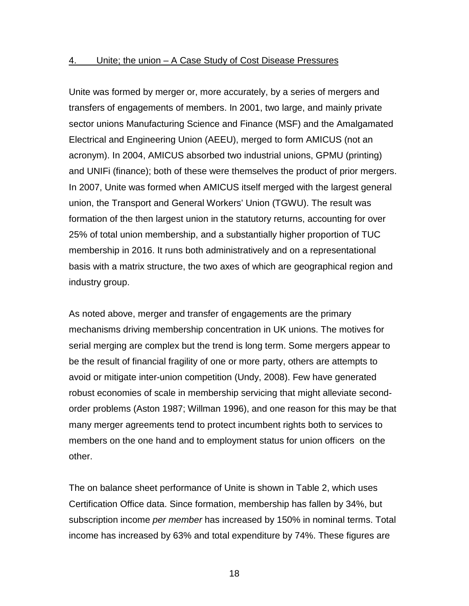#### 4. Unite; the union – A Case Study of Cost Disease Pressures

Unite was formed by merger or, more accurately, by a series of mergers and transfers of engagements of members. In 2001, two large, and mainly private sector unions Manufacturing Science and Finance (MSF) and the Amalgamated Electrical and Engineering Union (AEEU), merged to form AMICUS (not an acronym). In 2004, AMICUS absorbed two industrial unions, GPMU (printing) and UNIFi (finance); both of these were themselves the product of prior mergers. In 2007, Unite was formed when AMICUS itself merged with the largest general union, the Transport and General Workers' Union (TGWU). The result was formation of the then largest union in the statutory returns, accounting for over 25% of total union membership, and a substantially higher proportion of TUC membership in 2016. It runs both administratively and on a representational basis with a matrix structure, the two axes of which are geographical region and industry group.

As noted above, merger and transfer of engagements are the primary mechanisms driving membership concentration in UK unions. The motives for serial merging are complex but the trend is long term. Some mergers appear to be the result of financial fragility of one or more party, others are attempts to avoid or mitigate inter-union competition (Undy, 2008). Few have generated robust economies of scale in membership servicing that might alleviate secondorder problems (Aston 1987; Willman 1996), and one reason for this may be that many merger agreements tend to protect incumbent rights both to services to members on the one hand and to employment status for union officers on the other.

The on balance sheet performance of Unite is shown in Table 2, which uses Certification Office data. Since formation, membership has fallen by 34%, but subscription income *per member* has increased by 150% in nominal terms. Total income has increased by 63% and total expenditure by 74%. These figures are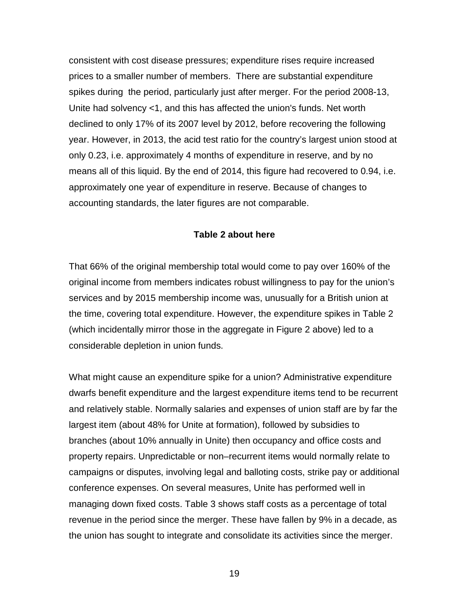consistent with cost disease pressures; expenditure rises require increased prices to a smaller number of members. There are substantial expenditure spikes during the period, particularly just after merger. For the period 2008-13, Unite had solvency <1, and this has affected the union's funds. Net worth declined to only 17% of its 2007 level by 2012, before recovering the following year. However, in 2013, the acid test ratio for the country's largest union stood at only 0.23, i.e. approximately 4 months of expenditure in reserve, and by no means all of this liquid. By the end of 2014, this figure had recovered to 0.94, i.e. approximately one year of expenditure in reserve. Because of changes to accounting standards, the later figures are not comparable.

#### **Table 2 about here**

That 66% of the original membership total would come to pay over 160% of the original income from members indicates robust willingness to pay for the union's services and by 2015 membership income was, unusually for a British union at the time, covering total expenditure. However, the expenditure spikes in Table 2 (which incidentally mirror those in the aggregate in Figure 2 above) led to a considerable depletion in union funds.

What might cause an expenditure spike for a union? Administrative expenditure dwarfs benefit expenditure and the largest expenditure items tend to be recurrent and relatively stable. Normally salaries and expenses of union staff are by far the largest item (about 48% for Unite at formation), followed by subsidies to branches (about 10% annually in Unite) then occupancy and office costs and property repairs. Unpredictable or non–recurrent items would normally relate to campaigns or disputes, involving legal and balloting costs, strike pay or additional conference expenses. On several measures, Unite has performed well in managing down fixed costs. Table 3 shows staff costs as a percentage of total revenue in the period since the merger. These have fallen by 9% in a decade, as the union has sought to integrate and consolidate its activities since the merger.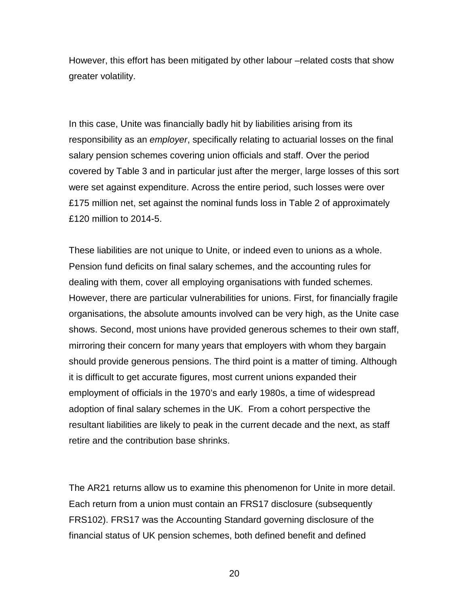However, this effort has been mitigated by other labour –related costs that show greater volatility.

In this case, Unite was financially badly hit by liabilities arising from its responsibility as an *employer*, specifically relating to actuarial losses on the final salary pension schemes covering union officials and staff. Over the period covered by Table 3 and in particular just after the merger, large losses of this sort were set against expenditure. Across the entire period, such losses were over £175 million net, set against the nominal funds loss in Table 2 of approximately £120 million to 2014-5.

These liabilities are not unique to Unite, or indeed even to unions as a whole. Pension fund deficits on final salary schemes, and the accounting rules for dealing with them, cover all employing organisations with funded schemes. However, there are particular vulnerabilities for unions. First, for financially fragile organisations, the absolute amounts involved can be very high, as the Unite case shows. Second, most unions have provided generous schemes to their own staff, mirroring their concern for many years that employers with whom they bargain should provide generous pensions. The third point is a matter of timing. Although it is difficult to get accurate figures, most current unions expanded their employment of officials in the 1970's and early 1980s, a time of widespread adoption of final salary schemes in the UK. From a cohort perspective the resultant liabilities are likely to peak in the current decade and the next, as staff retire and the contribution base shrinks.

The AR21 returns allow us to examine this phenomenon for Unite in more detail. Each return from a union must contain an FRS17 disclosure (subsequently FRS102). FRS17 was the Accounting Standard governing disclosure of the financial status of UK pension schemes, both defined benefit and defined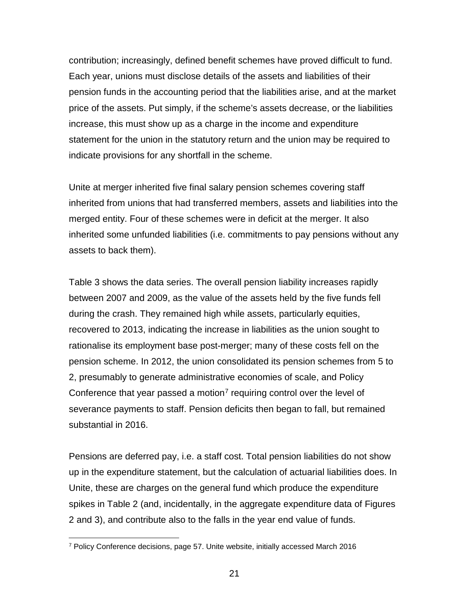contribution; increasingly, defined benefit schemes have proved difficult to fund. Each year, unions must disclose details of the assets and liabilities of their pension funds in the accounting period that the liabilities arise, and at the market price of the assets. Put simply, if the scheme's assets decrease, or the liabilities increase, this must show up as a charge in the income and expenditure statement for the union in the statutory return and the union may be required to indicate provisions for any shortfall in the scheme.

Unite at merger inherited five final salary pension schemes covering staff inherited from unions that had transferred members, assets and liabilities into the merged entity. Four of these schemes were in deficit at the merger. It also inherited some unfunded liabilities (i.e. commitments to pay pensions without any assets to back them).

Table 3 shows the data series. The overall pension liability increases rapidly between 2007 and 2009, as the value of the assets held by the five funds fell during the crash. They remained high while assets, particularly equities, recovered to 2013, indicating the increase in liabilities as the union sought to rationalise its employment base post-merger; many of these costs fell on the pension scheme. In 2012, the union consolidated its pension schemes from 5 to 2, presumably to generate administrative economies of scale, and Policy Conference that year passed a motion<sup>[7](#page-21-0)</sup> requiring control over the level of severance payments to staff. Pension deficits then began to fall, but remained substantial in 2016.

Pensions are deferred pay, i.e. a staff cost. Total pension liabilities do not show up in the expenditure statement, but the calculation of actuarial liabilities does. In Unite, these are charges on the general fund which produce the expenditure spikes in Table 2 (and, incidentally, in the aggregate expenditure data of Figures 2 and 3), and contribute also to the falls in the year end value of funds.

<span id="page-21-0"></span> <sup>7</sup> Policy Conference decisions, page 57. Unite website, initially accessed March 2016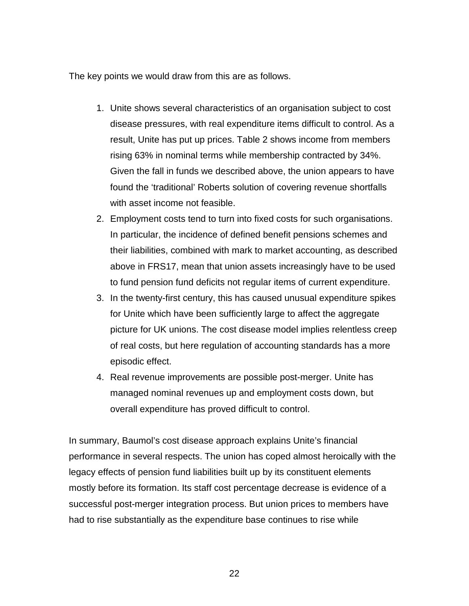The key points we would draw from this are as follows.

- 1. Unite shows several characteristics of an organisation subject to cost disease pressures, with real expenditure items difficult to control. As a result, Unite has put up prices. Table 2 shows income from members rising 63% in nominal terms while membership contracted by 34%. Given the fall in funds we described above, the union appears to have found the 'traditional' Roberts solution of covering revenue shortfalls with asset income not feasible.
- 2. Employment costs tend to turn into fixed costs for such organisations. In particular, the incidence of defined benefit pensions schemes and their liabilities, combined with mark to market accounting, as described above in FRS17, mean that union assets increasingly have to be used to fund pension fund deficits not regular items of current expenditure.
- 3. In the twenty-first century, this has caused unusual expenditure spikes for Unite which have been sufficiently large to affect the aggregate picture for UK unions. The cost disease model implies relentless creep of real costs, but here regulation of accounting standards has a more episodic effect.
- 4. Real revenue improvements are possible post-merger. Unite has managed nominal revenues up and employment costs down, but overall expenditure has proved difficult to control.

In summary, Baumol's cost disease approach explains Unite's financial performance in several respects. The union has coped almost heroically with the legacy effects of pension fund liabilities built up by its constituent elements mostly before its formation. Its staff cost percentage decrease is evidence of a successful post-merger integration process. But union prices to members have had to rise substantially as the expenditure base continues to rise while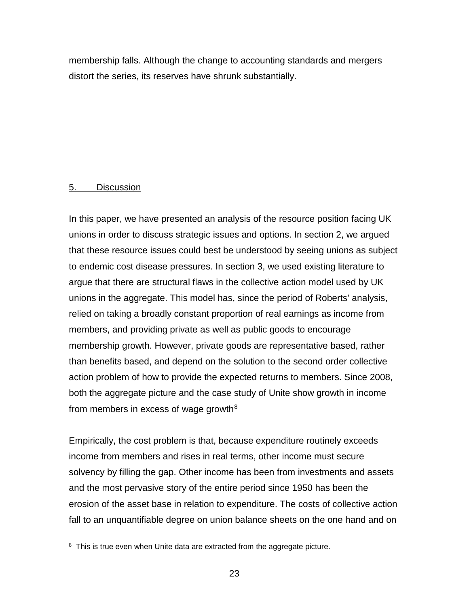membership falls. Although the change to accounting standards and mergers distort the series, its reserves have shrunk substantially.

#### 5. Discussion

In this paper, we have presented an analysis of the resource position facing UK unions in order to discuss strategic issues and options. In section 2, we argued that these resource issues could best be understood by seeing unions as subject to endemic cost disease pressures. In section 3, we used existing literature to argue that there are structural flaws in the collective action model used by UK unions in the aggregate. This model has, since the period of Roberts' analysis, relied on taking a broadly constant proportion of real earnings as income from members, and providing private as well as public goods to encourage membership growth. However, private goods are representative based, rather than benefits based, and depend on the solution to the second order collective action problem of how to provide the expected returns to members. Since 2008, both the aggregate picture and the case study of Unite show growth in income from members in excess of wage growth $8$ 

Empirically, the cost problem is that, because expenditure routinely exceeds income from members and rises in real terms, other income must secure solvency by filling the gap. Other income has been from investments and assets and the most pervasive story of the entire period since 1950 has been the erosion of the asset base in relation to expenditure. The costs of collective action fall to an unquantifiable degree on union balance sheets on the one hand and on

<span id="page-23-0"></span><sup>&</sup>lt;sup>8</sup> This is true even when Unite data are extracted from the aggregate picture.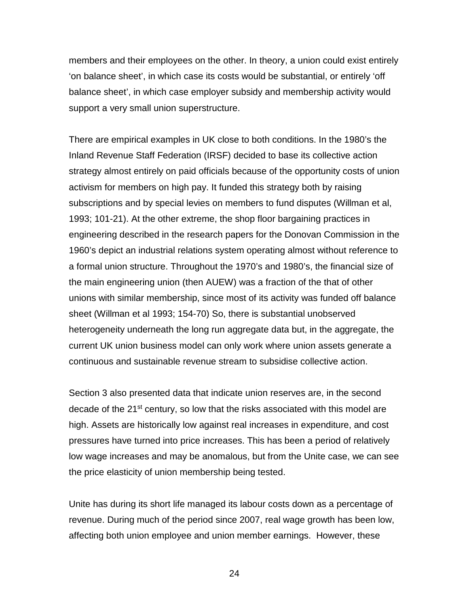members and their employees on the other. In theory, a union could exist entirely 'on balance sheet', in which case its costs would be substantial, or entirely 'off balance sheet', in which case employer subsidy and membership activity would support a very small union superstructure.

There are empirical examples in UK close to both conditions. In the 1980's the Inland Revenue Staff Federation (IRSF) decided to base its collective action strategy almost entirely on paid officials because of the opportunity costs of union activism for members on high pay. It funded this strategy both by raising subscriptions and by special levies on members to fund disputes (Willman et al, 1993; 101-21). At the other extreme, the shop floor bargaining practices in engineering described in the research papers for the Donovan Commission in the 1960's depict an industrial relations system operating almost without reference to a formal union structure. Throughout the 1970's and 1980's, the financial size of the main engineering union (then AUEW) was a fraction of the that of other unions with similar membership, since most of its activity was funded off balance sheet (Willman et al 1993; 154-70) So, there is substantial unobserved heterogeneity underneath the long run aggregate data but, in the aggregate, the current UK union business model can only work where union assets generate a continuous and sustainable revenue stream to subsidise collective action.

Section 3 also presented data that indicate union reserves are, in the second decade of the 21<sup>st</sup> century, so low that the risks associated with this model are high. Assets are historically low against real increases in expenditure, and cost pressures have turned into price increases. This has been a period of relatively low wage increases and may be anomalous, but from the Unite case, we can see the price elasticity of union membership being tested.

Unite has during its short life managed its labour costs down as a percentage of revenue. During much of the period since 2007, real wage growth has been low, affecting both union employee and union member earnings. However, these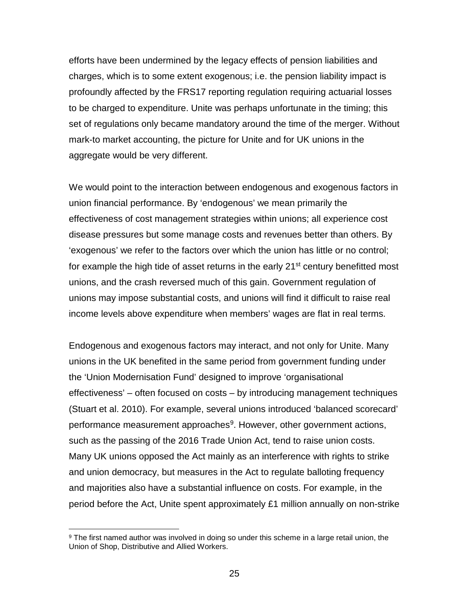efforts have been undermined by the legacy effects of pension liabilities and charges, which is to some extent exogenous; i.e. the pension liability impact is profoundly affected by the FRS17 reporting regulation requiring actuarial losses to be charged to expenditure. Unite was perhaps unfortunate in the timing; this set of regulations only became mandatory around the time of the merger. Without mark-to market accounting, the picture for Unite and for UK unions in the aggregate would be very different.

We would point to the interaction between endogenous and exogenous factors in union financial performance. By 'endogenous' we mean primarily the effectiveness of cost management strategies within unions; all experience cost disease pressures but some manage costs and revenues better than others. By 'exogenous' we refer to the factors over which the union has little or no control; for example the high tide of asset returns in the early 21<sup>st</sup> century benefitted most unions, and the crash reversed much of this gain. Government regulation of unions may impose substantial costs, and unions will find it difficult to raise real income levels above expenditure when members' wages are flat in real terms.

Endogenous and exogenous factors may interact, and not only for Unite. Many unions in the UK benefited in the same period from government funding under the 'Union Modernisation Fund' designed to improve 'organisational effectiveness' – often focused on costs – by introducing management techniques (Stuart et al. 2010). For example, several unions introduced 'balanced scorecard' performance measurement approaches<sup>[9](#page-25-0)</sup>. However, other government actions, such as the passing of the 2016 Trade Union Act, tend to raise union costs. Many UK unions opposed the Act mainly as an interference with rights to strike and union democracy, but measures in the Act to regulate balloting frequency and majorities also have a substantial influence on costs. For example, in the period before the Act, Unite spent approximately £1 million annually on non-strike

<span id="page-25-0"></span> <sup>9</sup> The first named author was involved in doing so under this scheme in a large retail union, the Union of Shop, Distributive and Allied Workers.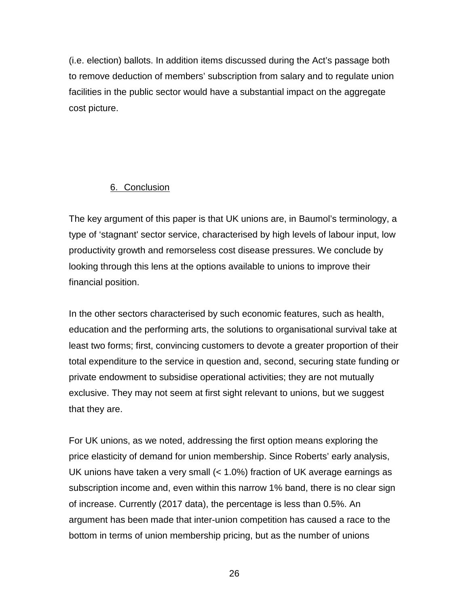(i.e. election) ballots. In addition items discussed during the Act's passage both to remove deduction of members' subscription from salary and to regulate union facilities in the public sector would have a substantial impact on the aggregate cost picture.

## 6. Conclusion

The key argument of this paper is that UK unions are, in Baumol's terminology, a type of 'stagnant' sector service, characterised by high levels of labour input, low productivity growth and remorseless cost disease pressures. We conclude by looking through this lens at the options available to unions to improve their financial position.

In the other sectors characterised by such economic features, such as health, education and the performing arts, the solutions to organisational survival take at least two forms; first, convincing customers to devote a greater proportion of their total expenditure to the service in question and, second, securing state funding or private endowment to subsidise operational activities; they are not mutually exclusive. They may not seem at first sight relevant to unions, but we suggest that they are.

For UK unions, as we noted, addressing the first option means exploring the price elasticity of demand for union membership. Since Roberts' early analysis, UK unions have taken a very small (< 1.0%) fraction of UK average earnings as subscription income and, even within this narrow 1% band, there is no clear sign of increase. Currently (2017 data), the percentage is less than 0.5%. An argument has been made that inter-union competition has caused a race to the bottom in terms of union membership pricing, but as the number of unions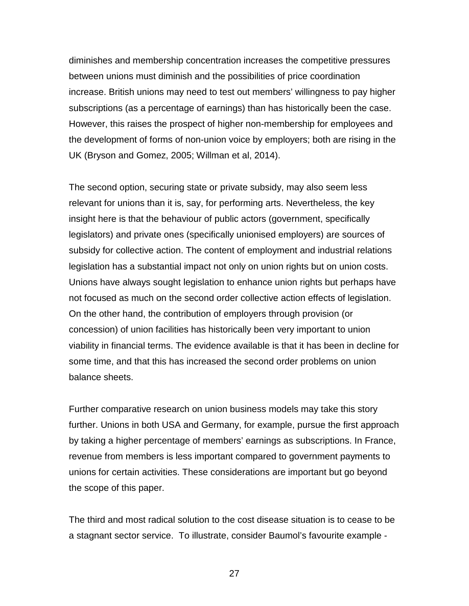diminishes and membership concentration increases the competitive pressures between unions must diminish and the possibilities of price coordination increase. British unions may need to test out members' willingness to pay higher subscriptions (as a percentage of earnings) than has historically been the case. However, this raises the prospect of higher non-membership for employees and the development of forms of non-union voice by employers; both are rising in the UK (Bryson and Gomez, 2005; Willman et al, 2014).

The second option, securing state or private subsidy, may also seem less relevant for unions than it is, say, for performing arts. Nevertheless, the key insight here is that the behaviour of public actors (government, specifically legislators) and private ones (specifically unionised employers) are sources of subsidy for collective action. The content of employment and industrial relations legislation has a substantial impact not only on union rights but on union costs. Unions have always sought legislation to enhance union rights but perhaps have not focused as much on the second order collective action effects of legislation. On the other hand, the contribution of employers through provision (or concession) of union facilities has historically been very important to union viability in financial terms. The evidence available is that it has been in decline for some time, and that this has increased the second order problems on union balance sheets.

Further comparative research on union business models may take this story further. Unions in both USA and Germany, for example, pursue the first approach by taking a higher percentage of members' earnings as subscriptions. In France, revenue from members is less important compared to government payments to unions for certain activities. These considerations are important but go beyond the scope of this paper.

The third and most radical solution to the cost disease situation is to cease to be a stagnant sector service. To illustrate, consider Baumol's favourite example -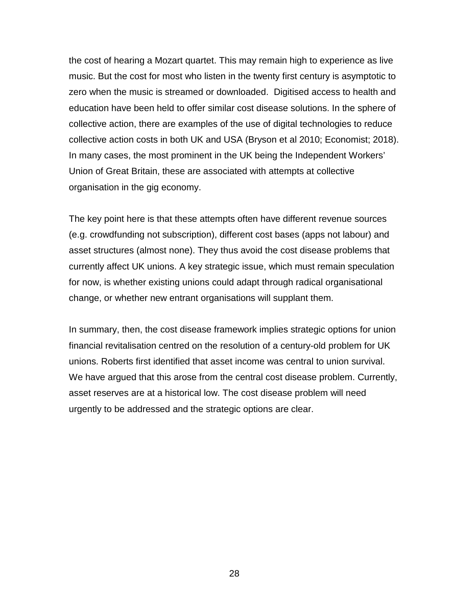the cost of hearing a Mozart quartet. This may remain high to experience as live music. But the cost for most who listen in the twenty first century is asymptotic to zero when the music is streamed or downloaded. Digitised access to health and education have been held to offer similar cost disease solutions. In the sphere of collective action, there are examples of the use of digital technologies to reduce collective action costs in both UK and USA (Bryson et al 2010; Economist; 2018). In many cases, the most prominent in the UK being the Independent Workers' Union of Great Britain, these are associated with attempts at collective organisation in the gig economy.

The key point here is that these attempts often have different revenue sources (e.g. crowdfunding not subscription), different cost bases (apps not labour) and asset structures (almost none). They thus avoid the cost disease problems that currently affect UK unions. A key strategic issue, which must remain speculation for now, is whether existing unions could adapt through radical organisational change, or whether new entrant organisations will supplant them.

In summary, then, the cost disease framework implies strategic options for union financial revitalisation centred on the resolution of a century-old problem for UK unions. Roberts first identified that asset income was central to union survival. We have argued that this arose from the central cost disease problem. Currently, asset reserves are at a historical low. The cost disease problem will need urgently to be addressed and the strategic options are clear.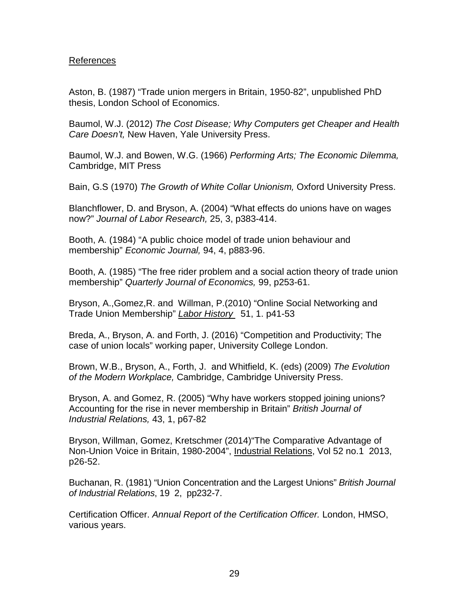## References

Aston, B. (1987) "Trade union mergers in Britain, 1950-82", unpublished PhD thesis, London School of Economics.

Baumol, W.J. (2012) *The Cost Disease; Why Computers get Cheaper and Health Care Doesn't,* New Haven, Yale University Press.

Baumol, W.J. and Bowen, W.G. (1966) *Performing Arts; The Economic Dilemma,*  Cambridge, MIT Press

Bain, G.S (1970) *The Growth of White Collar Unionism,* Oxford University Press.

Blanchflower, D. and Bryson, A. (2004) "What effects do unions have on wages now?" *Journal of Labor Research,* 25, 3, p383-414.

Booth, A. (1984) "A public choice model of trade union behaviour and membership" *Economic Journal,* 94, 4, p883-96.

Booth, A. (1985) "The free rider problem and a social action theory of trade union membership" *Quarterly Journal of Economics,* 99, p253-61.

Bryson, A.,Gomez,R. and Willman, P.(2010) "Online Social Networking and Trade Union Membership" *Labor History* 51, 1. p41-53

Breda, A., Bryson, A. and Forth, J. (2016) "Competition and Productivity; The case of union locals" working paper, University College London.

Brown, W.B., Bryson, A., Forth, J. and Whitfield, K. (eds) (2009) *The Evolution of the Modern Workplace,* Cambridge, Cambridge University Press.

Bryson, A. and Gomez, R. (2005) "Why have workers stopped joining unions? Accounting for the rise in never membership in Britain" *British Journal of Industrial Relations,* 43, 1, p67-82

Bryson, Willman, Gomez, Kretschmer (2014)"The Comparative Advantage of Non-Union Voice in Britain, 1980-2004", Industrial Relations, Vol 52 no.1 2013, p26-52.

Buchanan, R. (1981) "Union Concentration and the Largest Unions" *British Journal of Industrial Relations*, 19 2, pp232-7.

Certification Officer. *Annual Report of the Certification Officer.* London, HMSO, various years.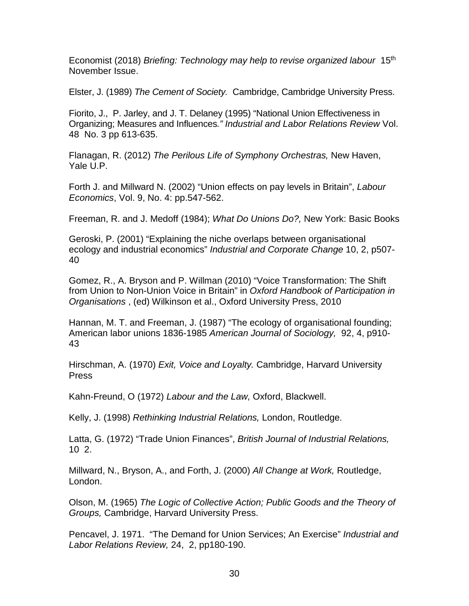Economist (2018) *Briefing: Technology may help to revise organized labour* 15th November Issue.

Elster, J. (1989) *The Cement of Society.* Cambridge, Cambridge University Press.

Fiorito, J., P. Jarley, and J. T. Delaney (1995) "National Union Effectiveness in Organizing; Measures and Influences*." Industrial and Labor Relations Review* Vol. 48 No. 3 pp 613-635.

Flanagan, R. (2012) *The Perilous Life of Symphony Orchestras,* New Haven, Yale U.P.

Forth J. and Millward N. (2002) "Union effects on pay levels in Britain", *Labour Economics*, Vol. 9, No. 4: pp.547-562.

Freeman, R. and J. Medoff (1984); *What Do Unions Do?,* New York: Basic Books

Geroski, P. (2001) "Explaining the niche overlaps between organisational ecology and industrial economics" *Industrial and Corporate Change* 10, 2, p507- 40

Gomez, R., A. Bryson and P. Willman (2010) "Voice Transformation: The Shift from Union to Non-Union Voice in Britain" in *Oxford Handbook of Participation in Organisations* , (ed) Wilkinson et al., Oxford University Press, 2010

Hannan, M. T. and Freeman, J. (1987) "The ecology of organisational founding; American labor unions 1836-1985 *American Journal of Sociology,* 92, 4, p910- 43

Hirschman, A. (1970) *Exit, Voice and Loyalty.* Cambridge, Harvard University **Press** 

Kahn-Freund, O (1972) *Labour and the Law,* Oxford, Blackwell.

Kelly, J. (1998) *Rethinking Industrial Relations,* London, Routledge.

Latta, G. (1972) "Trade Union Finances", *British Journal of Industrial Relations,* 10 2.

Millward, N., Bryson, A., and Forth, J. (2000) *All Change at Work,* Routledge, London.

Olson, M. (1965) *The Logic of Collective Action; Public Goods and the Theory of Groups,* Cambridge, Harvard University Press.

Pencavel, J. 1971. "The Demand for Union Services; An Exercise" *Industrial and Labor Relations Review,* 24, 2, pp180-190.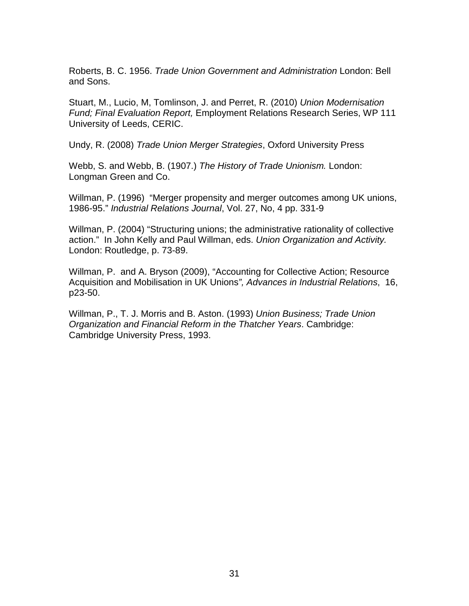Roberts, B. C. 1956. *Trade Union Government and Administration* London: Bell and Sons.

Stuart, M., Lucio, M, Tomlinson, J. and Perret, R. (2010) *Union Modernisation Fund; Final Evaluation Report,* Employment Relations Research Series, WP 111 University of Leeds, CERIC.

Undy, R. (2008) *Trade Union Merger Strategies*, Oxford University Press

Webb, S. and Webb, B. (1907.) *The History of Trade Unionism.* London: Longman Green and Co.

Willman, P. (1996) "Merger propensity and merger outcomes among UK unions, 1986-95." *Industrial Relations Journal*, Vol. 27, No, 4 pp. 331-9

Willman, P. (2004) "Structuring unions; the administrative rationality of collective action." In John Kelly and Paul Willman, eds. *Union Organization and Activity.* London: Routledge, p. 73-89.

Willman, P. and A. Bryson (2009), "Accounting for Collective Action; Resource Acquisition and Mobilisation in UK Unions*", Advances in Industrial Relations*, 16, p23-50.

Willman, P., T. J. Morris and B. Aston. (1993) *Union Business; Trade Union Organization and Financial Reform in the Thatcher Years*. Cambridge: Cambridge University Press, 1993.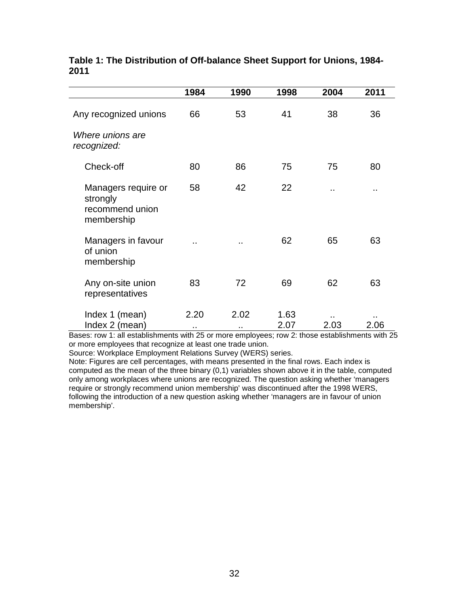|                                                                  | 1984        | 1990        | 1998         | 2004     | 2011 |
|------------------------------------------------------------------|-------------|-------------|--------------|----------|------|
| Any recognized unions                                            | 66          | 53          | 41           | 38       | 36   |
| Where unions are<br>recognized:                                  |             |             |              |          |      |
| Check-off                                                        | 80          | 86          | 75           | 75       | 80   |
| Managers require or<br>strongly<br>recommend union<br>membership | 58          | 42          | 22           |          | ٠.   |
| Managers in favour<br>of union<br>membership                     |             |             | 62           | 65       | 63   |
| Any on-site union<br>representatives                             | 83          | 72          | 69           | 62       | 63   |
| Index 1 (mean)<br>Index 2 (mean)                                 | 2.20<br>. . | 2.02<br>. . | 1.63<br>2.07 | <br>2.03 | 2.06 |

## **Table 1: The Distribution of Off-balance Sheet Support for Unions, 1984- 2011**

Bases: row 1: all establishments with 25 or more employees; row 2: those establishments with 25 or more employees that recognize at least one trade union.

Source: Workplace Employment Relations Survey (WERS) series.

Note: Figures are cell percentages, with means presented in the final rows. Each index is computed as the mean of the three binary (0,1) variables shown above it in the table, computed only among workplaces where unions are recognized. The question asking whether 'managers require or strongly recommend union membership' was discontinued after the 1998 WERS, following the introduction of a new question asking whether 'managers are in favour of union membership'.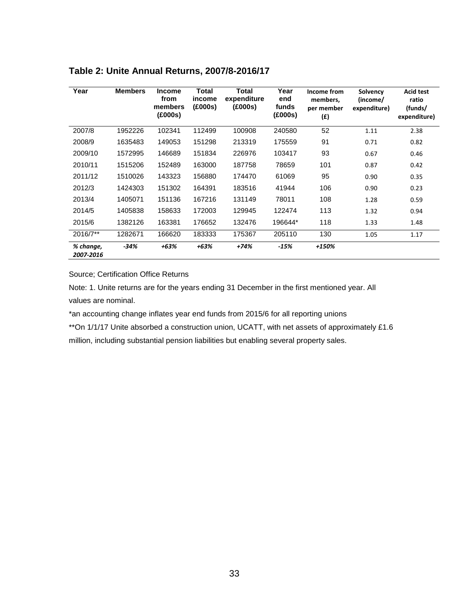| Year                   | <b>Members</b> | <b>Income</b><br>from<br>members<br>(£000s) | Total<br>income<br>(£000s) | Total<br>expenditure<br>(£000s) | Year<br>end<br>funds<br>(£000s) | Income from<br>members,<br>per member<br>(f) | Solvency<br>(income/<br>expenditure) | <b>Acid test</b><br>ratio<br>(funds/<br>expenditure) |
|------------------------|----------------|---------------------------------------------|----------------------------|---------------------------------|---------------------------------|----------------------------------------------|--------------------------------------|------------------------------------------------------|
| 2007/8                 | 1952226        | 102341                                      | 112499                     | 100908                          | 240580                          | 52                                           | 1.11                                 | 2.38                                                 |
| 2008/9                 | 1635483        | 149053                                      | 151298                     | 213319                          | 175559                          | 91                                           | 0.71                                 | 0.82                                                 |
| 2009/10                | 1572995        | 146689                                      | 151834                     | 226976                          | 103417                          | 93                                           | 0.67                                 | 0.46                                                 |
| 2010/11                | 1515206        | 152489                                      | 163000                     | 187758                          | 78659                           | 101                                          | 0.87                                 | 0.42                                                 |
| 2011/12                | 1510026        | 143323                                      | 156880                     | 174470                          | 61069                           | 95                                           | 0.90                                 | 0.35                                                 |
| 2012/3                 | 1424303        | 151302                                      | 164391                     | 183516                          | 41944                           | 106                                          | 0.90                                 | 0.23                                                 |
| 2013/4                 | 1405071        | 151136                                      | 167216                     | 131149                          | 78011                           | 108                                          | 1.28                                 | 0.59                                                 |
| 2014/5                 | 1405838        | 158633                                      | 172003                     | 129945                          | 122474                          | 113                                          | 1.32                                 | 0.94                                                 |
| 2015/6                 | 1382126        | 163381                                      | 176652                     | 132476                          | 196644*                         | 118                                          | 1.33                                 | 1.48                                                 |
| 2016/7**               | 1282671        | 166620                                      | 183333                     | 175367                          | 205110                          | 130                                          | 1.05                                 | 1.17                                                 |
| % change,<br>2007-2016 | $-34%$         | $+63%$                                      | $+63%$                     | $+74%$                          | $-15%$                          | +150%                                        |                                      |                                                      |

## **Table 2: Unite Annual Returns, 2007/8-2016/17**

Source; Certification Office Returns

Note: 1. Unite returns are for the years ending 31 December in the first mentioned year. All values are nominal.

\*an accounting change inflates year end funds from 2015/6 for all reporting unions

\*\*On 1/1/17 Unite absorbed a construction union, UCATT, with net assets of approximately £1.6

million, including substantial pension liabilities but enabling several property sales.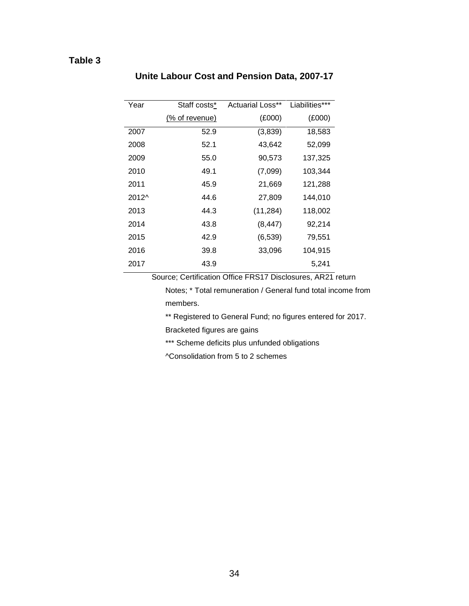## **Table 3**

| Year  | Staff costs*   | <b>Actuarial Loss**</b> | Liabilities*** |
|-------|----------------|-------------------------|----------------|
|       | (% of revenue) | (E000)                  | (E000)         |
| 2007  | 52.9           | (3,839)                 | 18,583         |
| 2008  | 52.1           | 43,642                  | 52,099         |
| 2009  | 55.0           | 90,573                  | 137,325        |
| 2010  | 49.1           | (7,099)                 | 103,344        |
| 2011  | 45.9           | 21,669                  | 121,288        |
| 2012^ | 44.6           | 27,809                  | 144,010        |
| 2013  | 44.3           | (11, 284)               | 118,002        |
| 2014  | 43.8           | (8, 447)                | 92,214         |
| 2015  | 42.9           | (6, 539)                | 79,551         |
| 2016  | 39.8           | 33,096                  | 104,915        |
| 2017  | 43.9           |                         | 5,241          |

## **Unite Labour Cost and Pension Data, 2007-17**

Source; Certification Office FRS17 Disclosures, AR21 return

Notes; \* Total remuneration / General fund total income from members.

\*\* Registered to General Fund; no figures entered for 2017.

Bracketed figures are gains

\*\*\* Scheme deficits plus unfunded obligations

^Consolidation from 5 to 2 schemes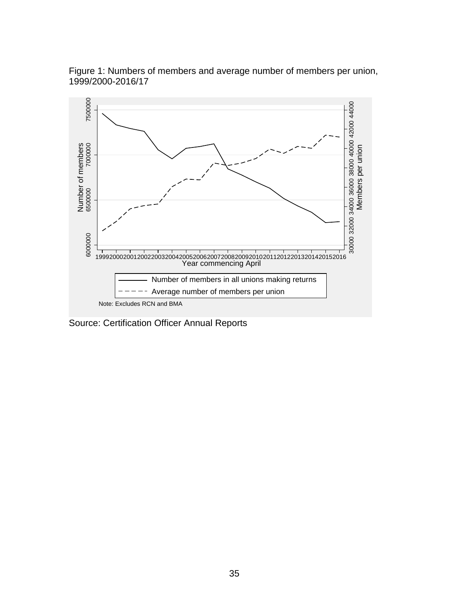

Figure 1: Numbers of members and average number of members per union, 1999/2000-2016/17

Source: Certification Officer Annual Reports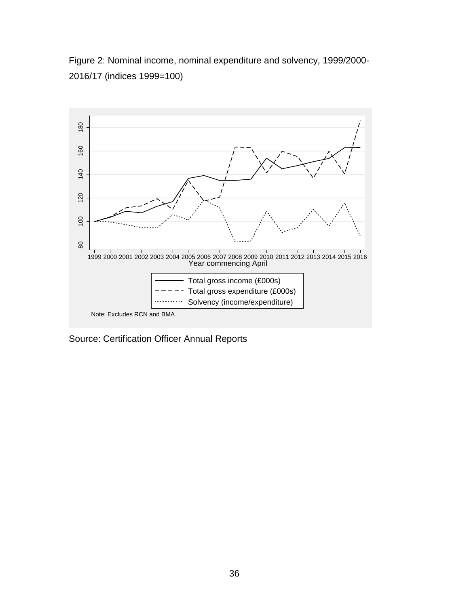Figure 2: Nominal income, nominal expenditure and solvency, 1999/2000- 2016/17 (indices 1999=100)

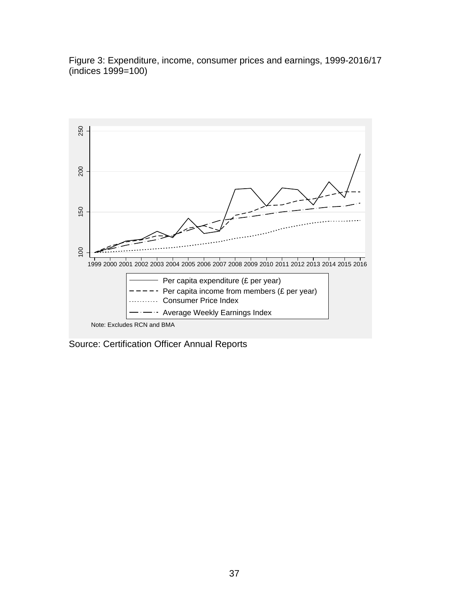Figure 3: Expenditure, income, consumer prices and earnings, 1999-2016/17  $(indices 1999=100)$